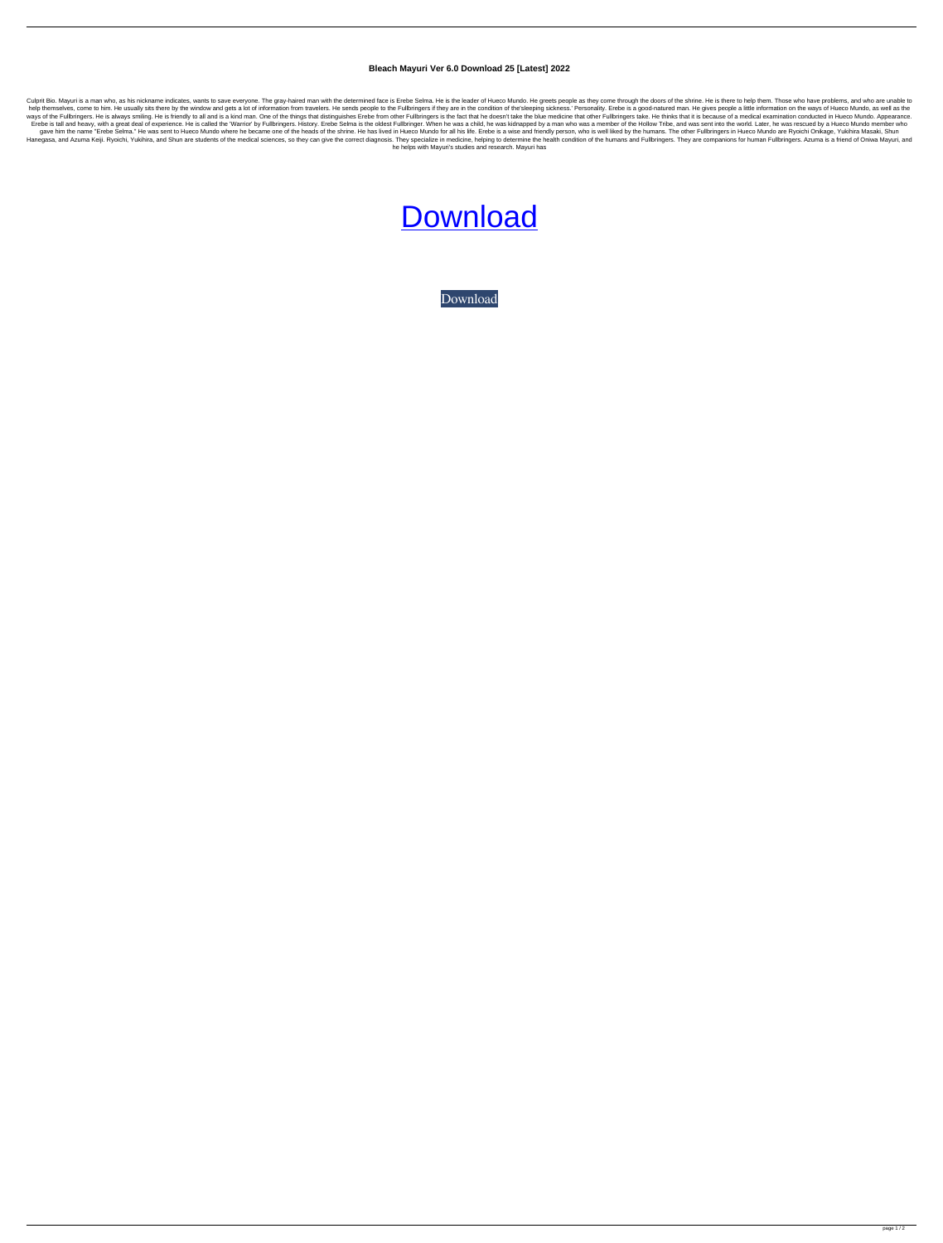## **Bleach Mayuri Ver 6.0 Download 25 [Latest] 2022**

Culprit Bio. Mayuri is a man who, as his nickname indicates, wants to save everyone. The gray-haired man with the determined face is Erebe Selma. He is the leader of Hueco Mundo. He greets people as they come through the d help themselves, come to him. He usually sits there by the window and gets a lot of information from travelers. He sends people to the Fullbringers if they are in the condition of the'sleeping sickness.' Personality. Erebe ways of the Fullbringers. He is always smiling. He is friendly to all and is a kind man. One of the things that distinguishes Erebe from other Fullbringers is the fact that he doesn't take the blue medicine that other Full Erebe is tall and heavy, with a great deal of experience. He is called the 'Warrior' by Fullbringers. History. Erebe Selma is the oldest Fullbringer. When he was a child, he was kidnapped by a man who was a member of the H gave him the name "Erebe Selma." He was sent to Hueco Mundo where he became one of the heads of the shrine. He has lived in Hueco Mundo for all his life. Erebe is a wise and friendly person, who is well liked by the humans Hanegasa, and Azuma Keiji. Ryoichi, Yukihira, and Shun are students of the medical sciences, so they can give the correct diagnosis. They specialize in medicine, helping to determine the health condition of the humans and he helps with Mayuri's studies and research. Mayuri has

## **[Download](http://evacdir.com/blackish/YmxlYWNoIG1heXVyaSB2ZXIgNi4wIGRvd25sb2FkIDI1Ymx/dolphin/republishing.huddled/?powernap=ZG93bmxvYWR8VE8zTVd4ek9YeDhNVFkxTWpRMk16QTFNSHg4TWpVM05IeDhLRTBwSUhKbFlXUXRZbXh2WnlCYlJtRnpkQ0JIUlU1ZA&preaches=acetaidehyde)**